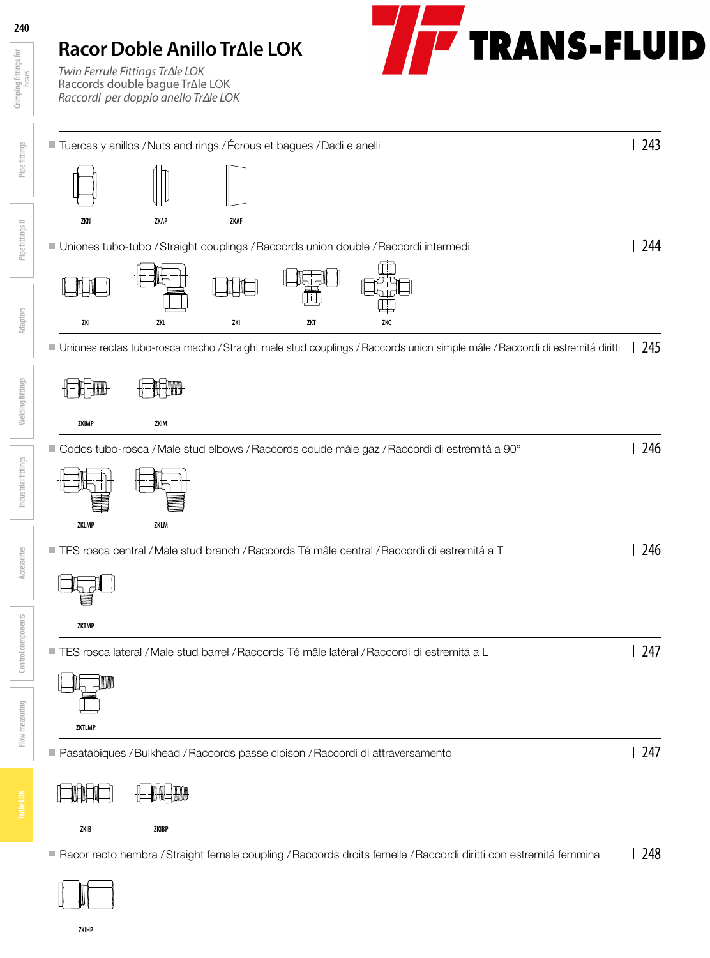# **TRANS-FLUID Racor Doble Anillo Tr∆le LOK** *Twin Ferrule Fittings Tr∆le LOK* Raccords double bague Tr∆le LOK *Raccordi per doppio anello Tr∆le LOK* ■ Tuercas y anillos / Nuts and rings / Écrous et bagues / Dadi e anelli 2003 **ZKN ZKAP ZKAF** ■ Uniones tubo-tubo / Straight couplings / Raccords union double / Raccordi intermedi 244 -li-l **ZKI ZKL ZKI ZKT ZKC** Uniones rectas tubo-rosca macho / Straight male stud couplings / Raccords union simple mâle / Raccordi di estremitá diritti  $\left| \right|$  245



**ZKIB ZKIBP**

■ Racor recto hembra / Straight female coupling / Raccords droits femelle / Raccordi diritti con estremitá femmina | 248



**Crimping fittings for hoses**

Crimping fittings for

**Pipe fittings**

**Pipe fittings II**

**Adaptors**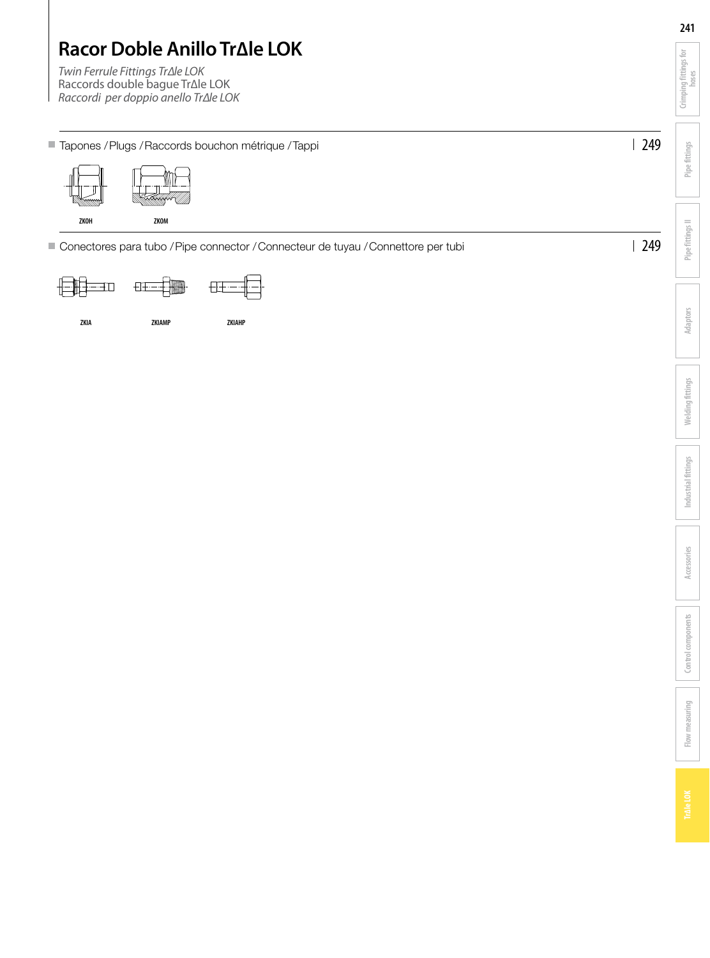|                                                                                                                                                     |     | 241                            |
|-----------------------------------------------------------------------------------------------------------------------------------------------------|-----|--------------------------------|
| Racor Doble Anillo Tr $\Delta$ le LOK<br>Twin Ferrule Fittings Tr∆le LOK<br>Raccords double bague Tr∆le LOK<br>Raccordi per doppio anello Tr∆le LOK |     | Crimping fittings for<br>hoses |
| ■ Tapones / Plugs / Raccords bouchon métrique / Tappi                                                                                               | 249 | Pipe fittings                  |
| ZKOH<br>ZKOM                                                                                                                                        |     | Pipe fittings II               |
| Conectores para tubo / Pipe connector / Connecteur de tuyau / Connettore per tubi                                                                   | 249 |                                |

**ZKIA ZKIAMP ZKIAHP**

**Flow measuring**

Flow measuring

**Adaptors**

**Welding fittings**

**Welding fittings** 

**Industrial fittings**

Industrial fittings

**Accessories**

**Control components**

Control components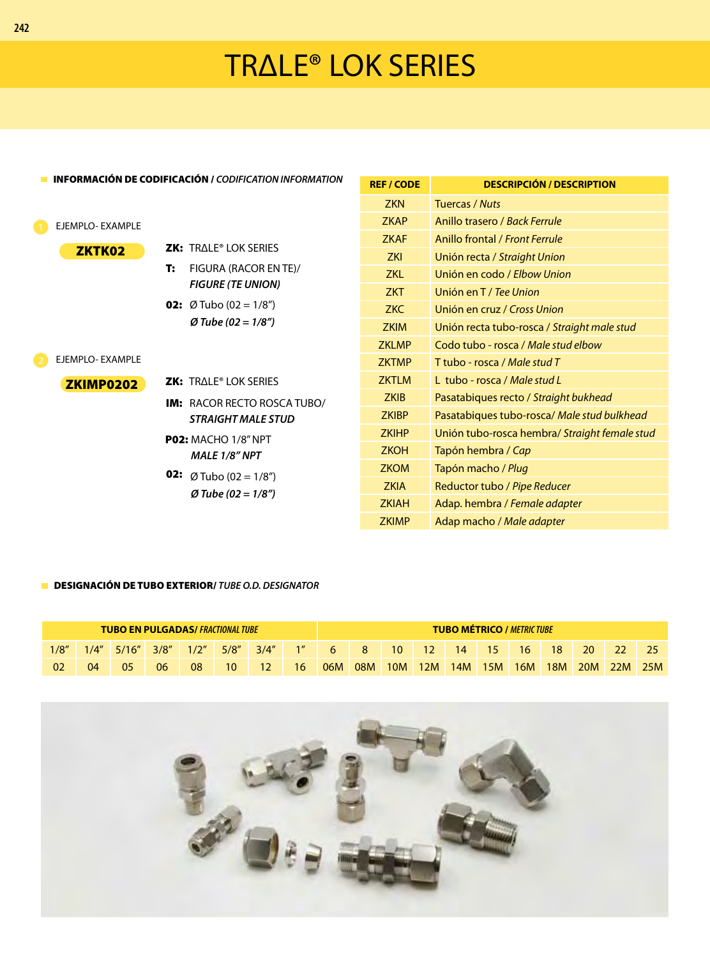# TRΔLE® LOK SERIES

| <b>INFORMACIÓN DE CODIFICACIÓN / CODIFICATION INFORMATION</b> |                                    | <b>REF / CODE</b> | <b>DESCRIPCIÓN / DESCRIPTION</b>              |
|---------------------------------------------------------------|------------------------------------|-------------------|-----------------------------------------------|
|                                                               |                                    |                   |                                               |
|                                                               |                                    | <b>ZKN</b>        | Tuercas / Nuts                                |
| EJEMPLO-EXAMPLE                                               |                                    | <b>ZKAP</b>       | Anillo trasero / Back Ferrule                 |
|                                                               |                                    | <b>ZKAF</b>       | Anillo frontal / Front Ferrule                |
| <b>ZKTK02</b>                                                 | <b>ZK: TRALE® LOK SERIES</b>       | <b>ZKI</b>        | Unión recta / Straight Union                  |
|                                                               | FIGURA (RACOR EN TE)/<br>т:        | <b>ZKL</b>        | Unión en codo / Elbow Union                   |
|                                                               | <b>FIGURE (TE UNION)</b>           | ZKT               | Unión en T / Tee Union                        |
|                                                               | <b>02:</b> Ø Tubo (02 = $1/8$ ")   | <b>ZKC</b>        | Unión en cruz / Cross Union                   |
|                                                               | $Ø$ Tube (02 = 1/8")               | <b>ZKIM</b>       | Unión recta tubo-rosca / Straight male stud   |
| EJEMPLO-EXAMPLE                                               |                                    | <b>ZKLMP</b>      | Codo tubo - rosca / Male stud elbow           |
|                                                               |                                    | <b>ZKTMP</b>      | T tubo - rosca / Male stud T                  |
| ZKIMP0202                                                     | <b>ZK: TRALE® LOK SERIES</b>       | <b>ZKTLM</b>      | L tubo - rosca / Male stud L                  |
|                                                               | <b>IM: RACOR RECTO ROSCA TUBO/</b> | <b>ZKIB</b>       | Pasatabiques recto / Straight bukhead         |
|                                                               | <b>STRAIGHT MALE STUD</b>          | <b>ZKIBP</b>      | Pasatabiques tubo-rosca/ Male stud bulkhead   |
|                                                               | <b>P02: MACHO 1/8" NPT</b>         | <b>ZKIHP</b>      | Unión tubo-rosca hembra/ Straight female stud |
|                                                               | MALE 1/8" NPT                      | <b>ZKOH</b>       | Tapón hembra / Cap                            |
|                                                               | <b>02:</b> Ø Tubo (02 = 1/8")      | <b>ZKOM</b>       | Tapón macho / Plug                            |
|                                                               |                                    | <b>ZKIA</b>       | Reductor tubo / Pipe Reducer                  |
|                                                               | $\varnothing$ Tube (02 = 1/8")     | <b>ZKIAH</b>      | Adap. hembra / Female adapter                 |

### DESIGNACIÓN DE TUBO EXTERIOR/ *TUBE O.D. DESIGNATOR*

| <b>TUBO EN PULGADAS/ FRACTIONAL TUBE</b> |      |       |       |      |              |       |                 |     | <b>TUBO MÉTRICO / METRIC TUBE</b> |            |     |     |                 |            |            |     |     |     |
|------------------------------------------|------|-------|-------|------|--------------|-------|-----------------|-----|-----------------------------------|------------|-----|-----|-----------------|------------|------------|-----|-----|-----|
| 1/8''                                    | 1/4" | 5/16" | 3/8'' | 1/2" | 5/8''        | 3/4'' | 1 <sup>II</sup> | 6   | 8                                 | 10         | 12  | 14  | 15 <sub>1</sub> | 16         | 18'        | 20  |     |     |
| 02                                       | 04   | 05    | 06    | 08   | $10^{\circ}$ |       | 16              | 06M | 08M                               | <b>10M</b> | 12M | 14M | 15M             | <b>16M</b> | <b>18M</b> | 20M | 22M | 25M |

ZKIMP Adap macho / *Male adapter*

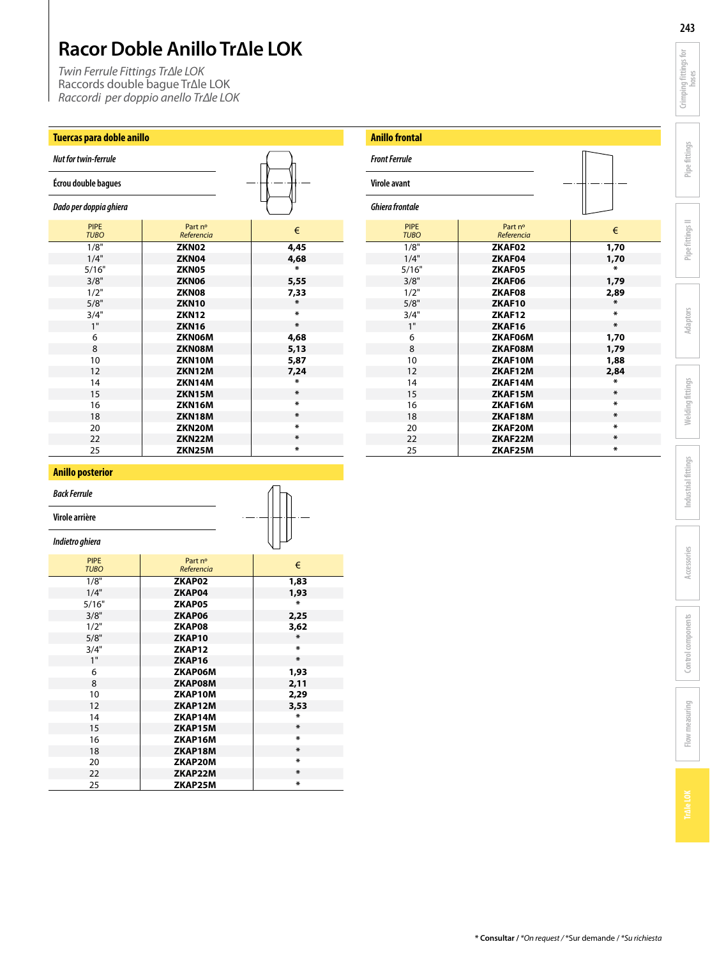*Twin Ferrule Fittings Tr∆le LOK* Raccords double bague Tr∆le LOK *Raccordi per doppio anello Tr∆le LOK*

## **Tuercas para doble anillo**

| <b>Nut for twin-ferrule</b> |                       |                |
|-----------------------------|-----------------------|----------------|
| Écrou double bagues         |                       |                |
| Dado per doppia ghiera      |                       |                |
| <b>PIPE</b><br><b>TUBO</b>  | Part nº<br>Referencia | €              |
| 1/8"                        | ZKN <sub>02</sub>     | 4,45           |
| 1/4"                        | ZKN04                 | 4,68           |
| 5/16"                       | ZKN05                 | ×              |
| 3/8"                        | ZKN06                 | 5,55           |
| 1/2"                        | ZKN08                 | 7,33           |
| 5/8"                        | <b>ZKN10</b>          | $\pmb{\ast}$   |
| 3/4"                        | <b>ZKN12</b>          | $\pmb{\times}$ |
| 1"                          | <b>ZKN16</b>          | $\pmb{\ast}$   |
| 6                           | ZKN06M                | 4,68           |
| 8                           | ZKN08M                | 5,13           |
| 10                          | ZKN10M                | 5,87           |
| 12                          | ZKN12M                | 7,24           |
| 14                          | ZKN14M                | $\star$        |
| 15                          | ZKN15M                | $\pmb{\ast}$   |
| 16                          | ZKN16M                | $\pmb{\times}$ |
| 18                          | <b>ZKN18M</b>         | $\pmb{\ast}$   |
| 20                          | ZKN20M                | $\pmb{\ast}$   |
| 22                          | ZKN22M                | *              |
| 25                          | ZKN25M                | $\pmb{\times}$ |

 $\overline{1}$ 

| <b>Anillo frontal</b>      |                       |                |
|----------------------------|-----------------------|----------------|
| <b>Front Ferrule</b>       |                       |                |
| Virole avant               |                       |                |
| <b>Ghiera frontale</b>     |                       |                |
| <b>PIPE</b><br><b>TUBO</b> | Part nº<br>Referencia | €              |
| 1/8"                       | ZKAF02                | 1,70           |
| 1/4"                       | ZKAF04                | 1,70           |
| 5/16"                      | ZKAF05                | $\mathbf x$    |
| 3/8"                       | ZKAF06                | 1,79           |
| 1/2"                       | ZKAF08                | 2,89           |
| 5/8"                       | ZKAF10                | $\pmb{\times}$ |
| 3/4"                       | ZKAF12                | *              |
| 1"                         | ZKAF16                | $\pmb{\ast}$   |
| 6                          | ZKAF06M               | 1,70           |
| 8                          | ZKAF08M               | 1,79           |
| 10                         | ZKAF10M               | 1,88           |
| 12                         | ZKAF12M               | 2,84           |
| 14                         | ZKAF14M               | *              |
| 15                         | ZKAF15M               | *              |
| 16                         | ZKAF16M               | *              |
| 18                         | ZKAF18M               | $\pmb{\ast}$   |
| 20                         | ZKAF20M               | *              |
| 22                         | ZKAF22M               | $\pmb{\ast}$   |
| 25                         | ZKAF25M               | *              |

### **Anillo posterior**

*Back Ferrule*

**Virole arrière**

*Indietro ghiera*

| <b>PIPE</b><br><b>TUBO</b> | Part nº<br>Referencia | €           |
|----------------------------|-----------------------|-------------|
| 1/8"                       | ZKAP02                | 1,83        |
| 1/4"                       | ZKAP04                | 1,93        |
| 5/16"                      | ZKAP05                | Х.          |
| 3/8"                       | ZKAP06                | 2,25        |
| 1/2"                       | ZKAP08                | 3,62        |
| 5/8"                       | ZKAP10                | $\mathbf x$ |
| 3/4"                       | ZKAP12                | Х.          |
| 1"                         | ZKAP16                | $\mathbf x$ |
| 6                          | ZKAP06M               | 1,93        |
| 8                          | ZKAP08M               | 2,11        |
| 10                         | ZKAP10M               | 2,29        |
| 12                         | ZKAP12M               | 3,53        |
| 14                         | ZKAP14M               | *           |
| 15                         | ZKAP15M               | $\ast$      |
| 16                         | ZKAP16M               | Х.          |
| 18                         | ZKAP18M               | *           |
| 20                         | ZKAP20M               | Х.          |
| 22                         | ZKAP22M               | *           |
| 25                         | ZKAP25M               | ×           |

**243**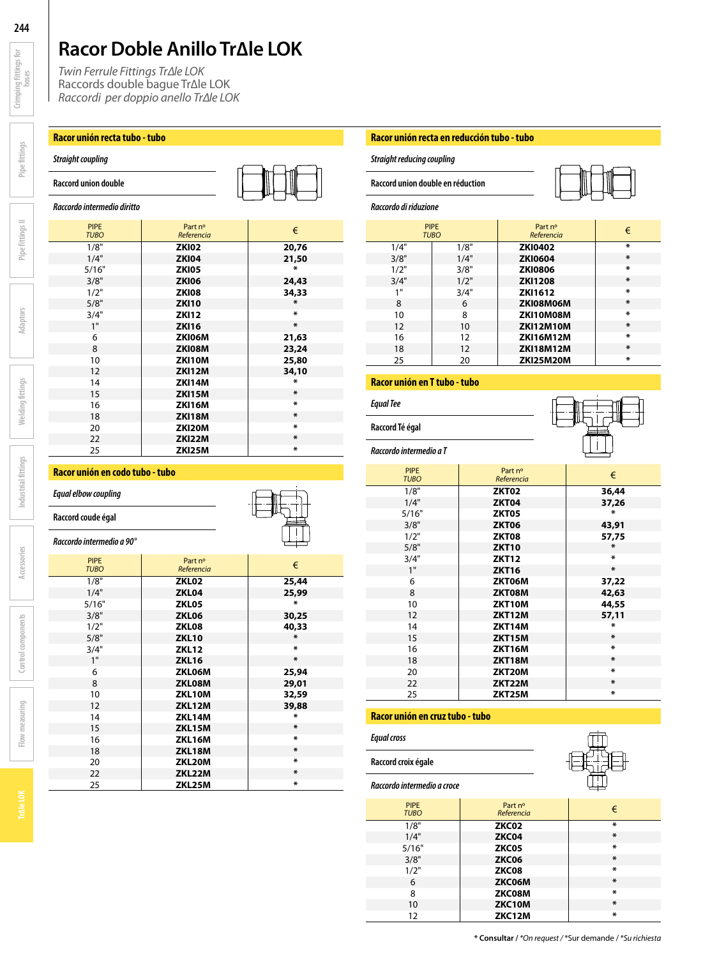*Twin Ferrule Fittings Tr∆le LOK* Raccords double bague Tr∆le LOK *Raccordi per doppio anello Tr∆le LOK*

### **Racor unión recta tubo - tubo**

### *Straight coupling*





*Raccordo intermedio diritto*

| <b>PIPE</b><br><b>TUBO</b> | Part nº<br>Referencia | €              |
|----------------------------|-----------------------|----------------|
| 1/8"                       | <b>ZKI02</b>          | 20,76          |
| 1/4"                       | <b>ZKI04</b>          | 21,50          |
| 5/16"                      | <b>ZKI05</b>          | $\pmb{\ast}$   |
| 3/8"                       | <b>ZKI06</b>          | 24,43          |
| 1/2"                       | <b>ZKI08</b>          | 34,33          |
| 5/8"                       | <b>ZKI10</b>          | $\pmb{\times}$ |
| 3/4"                       | <b>ZKI12</b>          | $\pmb{\times}$ |
| 1"                         | <b>ZKI16</b>          | $\pmb{\times}$ |
| 6                          | ZKI06M                | 21,63          |
| 8                          | ZKI08M                | 23,24          |
| 10                         | ZKI10M                | 25,80          |
| 12                         | <b>ZKI12M</b>         | 34,10          |
| 14                         | ZKI14M                | $\ast$         |
| 15                         | <b>ZKI15M</b>         | $\pmb{\ast}$   |
| 16                         | <b>ZKI16M</b>         | $\pmb{\times}$ |
| 18                         | <b>ZKI18M</b>         | $\pmb{\ast}$   |
| 20                         | ZKI20M                | $\pmb{\ast}$   |
| 22                         | ZKI22M                | $\pmb{\ast}$   |
| 25                         | ZKI25M                | $\pmb{\ast}$   |

### **Racor unión en codo tubo - tubo**

### *Equal elbow coupling*

### **Raccord coude égal**

### *Raccordo intermedio a 90°*

| <b>PIPE</b><br><b>TUBO</b> | Part nº<br>Referencia | €              |
|----------------------------|-----------------------|----------------|
| 1/8"                       | ZKL <sub>02</sub>     | 25,44          |
| 1/4"                       | ZKL04                 | 25,99          |
| 5/16"                      | ZKL05                 | ∗              |
| 3/8"                       | ZKL06                 | 30,25          |
| 1/2"                       | ZKL08                 | 40,33          |
| 5/8"                       | <b>ZKL10</b>          | $\ast$         |
| 3/4"                       | <b>ZKL12</b>          | $\pmb{\ast}$   |
| 1"                         | <b>ZKL16</b>          | $\pmb{\times}$ |
| 6                          | ZKL06M                | 25,94          |
| 8                          | ZKL08M                | 29,01          |
| 10                         | ZKL10M                | 32,59          |
| 12                         | ZKL12M                | 39,88          |
| 14                         | ZKL14M                | $\mathbf x$    |
| 15                         | <b>ZKL15M</b>         | $\ast$         |
| 16                         | ZKL16M                | $\mathbf x$    |
| 18                         | ZKL18M                | *              |
| 20                         | ZKL20M                | $\mathbf x$    |
| 22                         | ZKL22M                | $\pmb{\ast}$   |
| 25                         | ZKL25M                | $\mathbf x$    |

### **Racor unión recta en reducción tubo - tubo**

*Straight reducing coupling*

**Raccord union double en réduction**

*Raccordo di riduzione*

| <i>טטו</i> עט <i>עו ו</i> וער זייט |                            |                       |              |
|------------------------------------|----------------------------|-----------------------|--------------|
|                                    | <b>PIPE</b><br><b>TUBO</b> | Part nº<br>Referencia | €            |
| 1/4"                               | 1/8"                       | <b>ZKI0402</b>        | $\mathbf{x}$ |
| 3/8"                               | 1/4"                       | <b>ZKI0604</b>        | $\chi$       |
| 1/2"                               | 3/8"                       | <b>ZKI0806</b>        | ¥            |
| 3/4"                               | 1/2"                       | <b>ZKI1208</b>        | $\pmb{\ast}$ |
| 1                                  | 3/4"                       | <b>ZKI1612</b>        | $\mathbf{x}$ |
| 8                                  | 6                          | ZKI08M06M             | $\chi$       |
| 10                                 | 8                          | ZKI10M08M             | $\mathbf{x}$ |
| $12 \overline{ }$                  | 10                         | <b>ZKI12M10M</b>      | $\chi$       |
| 16                                 | 12                         | <b>ZKI16M12M</b>      | $\mathbf{x}$ |
| 18                                 | 12                         | <b>ZKI18M12M</b>      | $\chi$       |
| 25                                 | 20                         | <b>ZKI25M20M</b>      | $\star$      |

### **Racor unión en T tubo - tubo**

*Equal Tee* **Raccord Té égal**



*Raccordo intermedio a T*

| <b>PIPE</b><br><b>TUBO</b> | Part nº<br>Referencia | €              |
|----------------------------|-----------------------|----------------|
| 1/8"                       | ZKT02                 | 36,44          |
| 1/4"                       | <b>ZKT04</b>          | 37,26          |
| 5/16"                      | ZKT05                 | $\mathbf{x}$   |
| 3/8"                       | <b>ZKT06</b>          | 43,91          |
| 1/2"                       | ZKT08                 | 57,75          |
| 5/8"                       | <b>ZKT10</b>          | $\pmb{\ast}$   |
| 3/4"                       | <b>ZKT12</b>          | $\mathbf x$    |
| 1"                         | <b>ZKT16</b>          | $\pmb{\times}$ |
| 6                          | ZKT06M                | 37,22          |
| 8                          | ZKT08M                | 42,63          |
| 10                         | ZKT10M                | 44,55          |
| 12                         | <b>ZKT12M</b>         | 57,11          |
| 14                         | <b>ZKT14M</b>         | $\mathbf{x}$   |
| 15                         | <b>ZKT15M</b>         | $\pmb{\times}$ |
| 16                         | ZKT16M                | $\pmb{\ast}$   |
| 18                         | <b>ZKT18M</b>         | $\pmb{\times}$ |
| 20                         | ZKT20M                | $\pmb{\times}$ |
| 22                         | ZKT22M                | $\pmb{\times}$ |
| 25                         | ZKT25M                | $\pmb{\times}$ |

### **Racor unión en cruz tubo - tubo**

*Equal cross*

**Raccord croix égale**



*Raccordo intermedio a croce*

| <b>PIPE</b><br><b>TUBO</b> | Part nº<br>Referencia | €                   |
|----------------------------|-----------------------|---------------------|
| 1/8"                       | ZKC02                 | $\ast$              |
| 1/4"                       | ZKC04                 | $\pmb{\ast}$        |
| 5/16"                      | ZKC05                 | $\ast$              |
| 3/8"                       | ZKC06                 | $\ast$              |
| 1/2"                       | ZKC08                 | $\boldsymbol{\ast}$ |
| 6                          | ZKC06M                | $\boldsymbol{\ast}$ |
| 8                          | ZKC08M                | $\boldsymbol{\ast}$ |
| 10                         | ZKC10M                | $\ast$              |
| 12                         | ZKC12M                | $\ast$              |

**244**

**Crimping fittings for**  Crimping fittings for

**Pipe fittings**

**Pipe fittings II**

**Adaptors**

**Welding fittings**

**Welding fittings** 

**Industrial fittings**

Industrial fittings

**Accessories**

**Control components**

Control components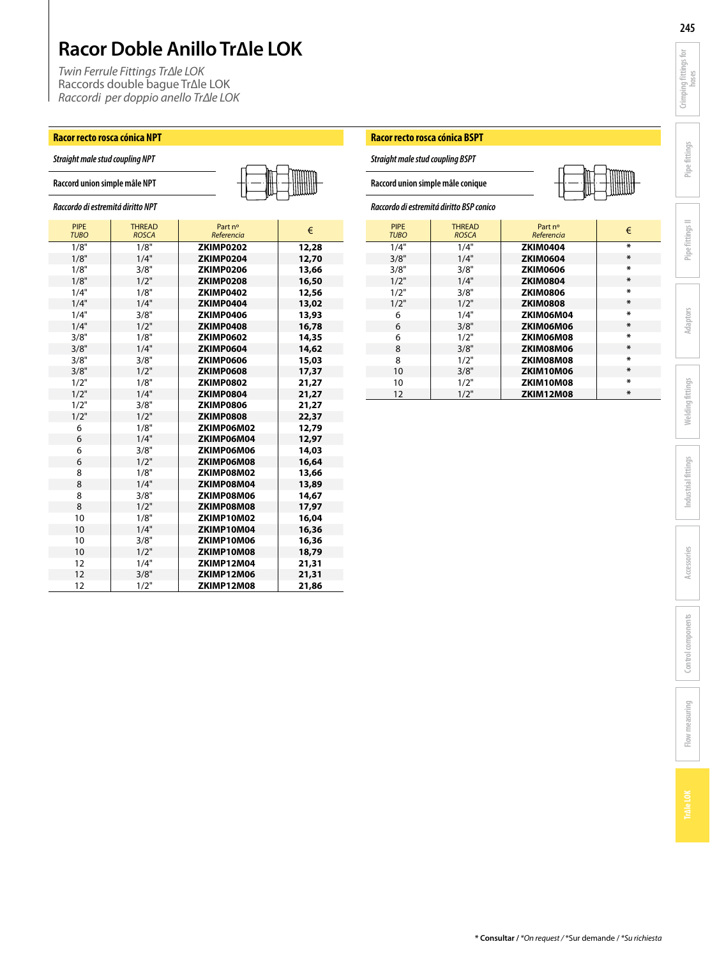*Twin Ferrule Fittings Tr∆le LOK* Raccords double bague Tr∆le LOK *Raccordi per doppio anello Tr∆le LOK*

### **Racor recto rosca cónica NPT**

*Straight male stud coupling NPT*

|  |  |  | WWWW |
|--|--|--|------|
|  |  |  |      |
|  |  |  |      |

| Raccordo di estremitá diritto NPT |  |  |
|-----------------------------------|--|--|
|                                   |  |  |

| <b>PIPE</b><br><b>TUBO</b> | <b>THREAD</b><br><b>ROSCA</b> | Part nº<br>Referencia | €     |
|----------------------------|-------------------------------|-----------------------|-------|
| 1/8"                       | 1/8"                          | ZKIMP0202             | 12,28 |
| 1/8"                       | 1/4"                          | ZKIMP0204             | 12,70 |
| 1/8"                       | 3/8"                          | ZKIMP0206             | 13,66 |
| 1/8"                       | 1/2"                          | ZKIMP0208             | 16,50 |
| 1/4"                       | 1/8"                          | ZKIMP0402             | 12,56 |
| 1/4"                       | 1/4"                          | ZKIMP0404             | 13,02 |
| 1/4"                       | 3/8"                          | ZKIMP0406             | 13,93 |
| 1/4"                       | 1/2"                          | ZKIMP0408             | 16,78 |
| 3/8"                       | 1/8"                          | ZKIMP0602             | 14,35 |
| 3/8"                       | 1/4"                          | ZKIMP0604             | 14,62 |
| 3/8"                       | 3/8"                          | ZKIMP0606             | 15,03 |
| 3/8"                       | 1/2"                          | ZKIMP0608             | 17,37 |
| 1/2"                       | 1/8"                          | ZKIMP0802             | 21,27 |
| 1/2"                       | 1/4"                          | ZKIMP0804             | 21,27 |
| 1/2"                       | 3/8"                          | ZKIMP0806             | 21,27 |
| 1/2"                       | 1/2"                          | ZKIMP0808             | 22,37 |
| 6                          | 1/8"                          | ZKIMP06M02            | 12,79 |
| 6                          | 1/4"                          | ZKIMP06M04            | 12,97 |
| 6                          | 3/8"                          | ZKIMP06M06            | 14,03 |
| 6                          | 1/2"                          | ZKIMP06M08            | 16,64 |
| 8                          | 1/8"                          | ZKIMP08M02            | 13,66 |
| 8                          | 1/4"                          | ZKIMP08M04            | 13,89 |
| 8                          | 3/8"                          | ZKIMP08M06            | 14,67 |
| 8                          | 1/2"                          | ZKIMP08M08            | 17,97 |
| 10                         | 1/8"                          | ZKIMP10M02            | 16,04 |
| 10                         | 1/4"                          | ZKIMP10M04            | 16,36 |
| 10                         | 3/8"                          | ZKIMP10M06            | 16,36 |
| 10                         | 1/2"                          | ZKIMP10M08            | 18,79 |
| 12                         | 1/4"                          | ZKIMP12M04            | 21,31 |
| 12                         | 3/8"                          | ZKIMP12M06            | 21,31 |
| 12                         | 1/2"                          | ZKIMP12M08            | 21,86 |

### **Racor recto rosca cónica BSPT**

*Straight male stud coupling BSPT*

**Raccord union simple mâle conique**

### *Raccordo di estremitá diritto BSP conico*

| <b>PIPE</b><br><b>TUBO</b> | <b>THREAD</b><br><b>ROSCA</b> | Part nº<br>Referencia | €           |
|----------------------------|-------------------------------|-----------------------|-------------|
| 1/4"                       | 1/4"                          | <b>ZKIM0404</b>       | ¥.          |
| 3/8"                       | 1/4"                          | <b>ZKIM0604</b>       | *           |
| 3/8"                       | 3/8"                          | <b>ZKIM0606</b>       | *           |
| 1/2"                       | 1/4"                          | <b>ZKIM0804</b>       | $\mathbf x$ |
| 1/2"                       | 3/8"                          | <b>ZKIM0806</b>       | *           |
| 1/2"                       | 1/2"                          | <b>ZKIM0808</b>       | *           |
| 6                          | 1/4"                          | ZKIM06M04             | *           |
| 6                          | 3/8"                          | ZKIM06M06             | $\mathbf x$ |
| 6                          | 1/2"                          | ZKIM06M08             | ¥.          |
| 8                          | 3/8"                          | ZKIM08M06             | $\mathbf x$ |
| 8                          | 1/2"                          | ZKIM08M08             | ¥.          |
| 10                         | 3/8"                          | ZKIM10M06             | $\mathbf x$ |
| 10                         | 1/2"                          | ZKIM10M08             | ¥.          |
| 12                         | 1/2"                          | <b>ZKIM12M08</b>      | *           |

**Crimping fittings for**  Crimping fittings for

**Pipe fittings**

**Pipe fittings II**

**Adaptors**

**Welding fittings**

**Welding fittings** 

**Industrial fittings**

Industrial fittings

**Accessories**

**Control components**

Control components

**Flow measuring**

Flow measuring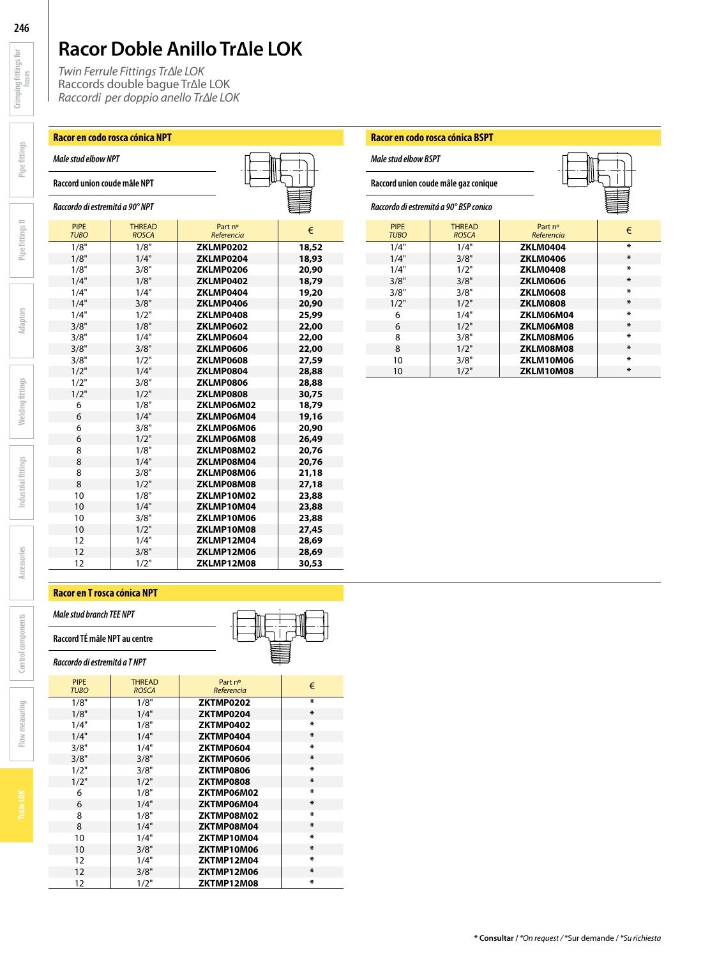PIPE THREAD Part nº € *TUBO ROSCA Referencia* 1/8" 1/8" **ZKLMP0202 18,52**

1/8" 3/8" **ZKLMP0206 20,90**

1/4" 1/4" **ZKLMP0404 19,20**

1/4" 1/2" **ZKLMP0408 25,99**

3/8" 1/4" **ZKLMP0604 22,00**

3/8" 1/2" **ZKLMP0608 27,59**

1/2" 3/8" **ZKLMP0806 28,88** 1/2" 1/2" **ZKLMP0808 30,75**

6 1/4" **ZKLMP06M04 19,16**

6 1/2" **ZKLMP06M08 26,49**

8 1/4" **ZKLMP08M04 20,76**

8 1/2" **ZKLMP08M08 27,18**

10 1/4" **ZKLMP10M04 23,88**

 1/2" **ZKLMP10M08 27,45** 1/4" **ZKLMP12M04 28,69** 1/8" **ZKLMP12M06**<br>1/2" **ZKLMP12M08** 1/2" **ZKLMP12M08 30,53**

6 1/8" **ZKLMP06M02**<br>6 1/4" **ZKLMP06M04** 

8 1/8" **ZKLMP08M02** 

1/4" 1/8" **ZKLMP0402 18,79**

1/4" 3/8" **ZKLMP0406 20,90**

3/8" 1/8" **ZKLMP0602 22,00**

3/8" 3/8" **ZKLMP0606 22,00**

 $ZKLMPO804$ 

6 3/8" **ZKLMP06M06 20,90**

10 1/8" **ZKLMP10M02 23,88**

10 3/8" **ZKLMP10M06 23,88**

8 3/8" **ZKLMP08M06 21,18**

1/8" 1/4" **ZKLMP0204**<br>1/8" 3/8" **ZKLMP0206** 

*Twin Ferrule Fittings Tr∆le LOK* Raccords double bague Tr∆le LOK *Raccordi per doppio anello Tr∆le LOK*

### **Racor en codo rosca cónica NPT**

*Male stud elbow NPT*

**Raccord union coude mâle NPT**

*Raccordo di estremitá a 90° NPT*

**Pipe fittings**

**Crimping fittings for**  Crimping fittings for

**246**

| ndustr      |  |  |
|-------------|--|--|
|             |  |  |
|             |  |  |
| Accessories |  |  |
|             |  |  |

### **Racor en T rosca cónica NPT**

*Male stud branch TEE NPT*

**Raccord TÉ mâle NPT au centre** *Raccordo di estremitá a T NPT*

| <b>PIPE</b><br><b>TUBO</b> | <b>THREAD</b><br><b>ROSCA</b> | Part nº<br>Referencia | €              |
|----------------------------|-------------------------------|-----------------------|----------------|
| 1/8"                       | 1/8"                          | ZKTMP0202             | x              |
| 1/8"                       | 1/4"                          | ZKTMP0204             | $\ast$         |
| 1/4"                       | 1/8"                          | ZKTMP0402             | x              |
| 1/4"                       | 1/4"                          | ZKTMP0404             | $\chi$         |
| 3/8"                       | 1/4"                          | ZKTMP0604             | x              |
| 3/8"                       | 3/8"                          | ZKTMP0606             | $\pmb{\ast}$   |
| 1/2"                       | 3/8"                          | ZKTMP0806             | x              |
| 1/2"                       | 1/2"                          | ZKTMP0808             | $\ast$         |
| 6                          | 1/8"                          | ZKTMP06M02            | x              |
| 6                          | 1/4"                          | ZKTMP06M04            | $\ast$         |
| 8                          | 1/8"                          | ZKTMP08M02            | ¥.             |
| 8                          | 1/4"                          | ZKTMP08M04            | $\pmb{\ast}$   |
| 10                         | 1/4"                          | ZKTMP10M04            | $\mathbf{x}$   |
| 10                         | 3/8"                          | ZKTMP10M06            | $\pmb{\ast}$   |
| $12 \overline{ }$          | 1/4"                          | ZKTMP12M04            | $\mathbf{x}$   |
| 12                         | 3/8"                          | ZKTMP12M06            | $\chi$         |
| 12                         | 1/2"                          | ZKTMP12M08            | $\pmb{\times}$ |

### **Racor en codo rosca cónica BSPT**

| Male stud elbow BSPT                   |                                      |                       |                |  |
|----------------------------------------|--------------------------------------|-----------------------|----------------|--|
|                                        | Raccord union coude mâle gaz conique |                       |                |  |
| Raccordo di estremitá a 90° BSP conico |                                      |                       |                |  |
| <b>PIPE</b><br><b>TUBO</b>             | <b>THREAD</b><br><b>ROSCA</b>        | Part nº<br>Referencia | €              |  |
| 1/4"                                   | 1/4"                                 | <b>ZKLM0404</b>       | $\pmb{\ast}$   |  |
| 1/4"                                   | 3/8"                                 | <b>ZKLM0406</b>       | $\chi$         |  |
| 1/4"                                   | 1/2"                                 | <b>ZKLM0408</b>       | $\pmb{\times}$ |  |
| 3/8"                                   | 3/8"                                 | <b>ZKLM0606</b>       | $\chi$         |  |
| 3/8"                                   | 3/8"                                 | <b>ZKLM0608</b>       | $\pmb{\times}$ |  |
| 1/2"                                   | 1/2"                                 | <b>ZKLM0808</b>       | $\pmb{\ast}$   |  |
| 6                                      | 1/4"                                 | ZKLM06M04             | $\pmb{\times}$ |  |
| 6                                      | 1/2"                                 | ZKLM06M08             | $\pmb{\ast}$   |  |
| 8                                      | 3/8"                                 | ZKLM08M06             | $\star$        |  |
| 8                                      | 1/2"                                 | ZKLM08M08             | $\pmb{\ast}$   |  |
| 10                                     | 3/8"                                 | ZKLM10M06             | $\pmb{\times}$ |  |
| 10                                     | 1/2"                                 | ZKLM10M08             | $\chi$         |  |

**Flow measuring**

Flow measuring

**Control components**

Control components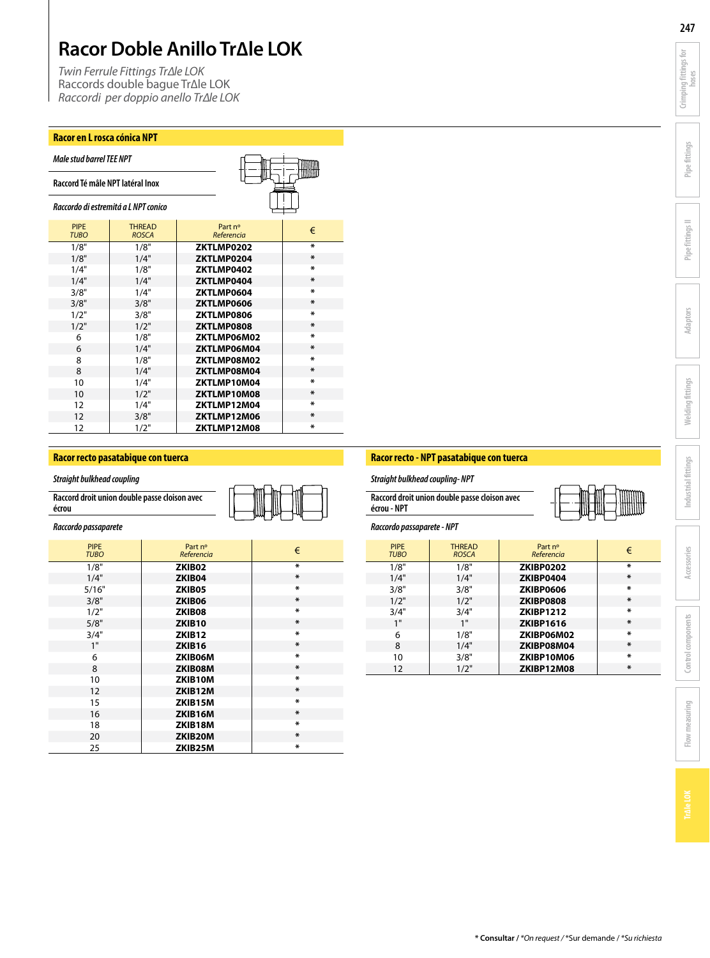*Twin Ferrule Fittings Tr∆le LOK* Raccords double bague Tr∆le LOK *Raccordi per doppio anello Tr∆le LOK*

### **Racor en L rosca cónica NPT**

| <b>Male stud barrel TEE NPT</b>     |                               |                       |              |
|-------------------------------------|-------------------------------|-----------------------|--------------|
| Raccord Té mâle NPT latéral Inox    |                               |                       |              |
| Raccordo di estremitá a LNPT conico |                               |                       |              |
| <b>PIPE</b><br><b>TUBO</b>          | <b>THREAD</b><br><b>ROSCA</b> | Part nº<br>Referencia | €            |
| 1/8"                                | 1/8"                          | ZKTLMP0202            | ¥.           |
| 1/8"                                | 1/4"                          | ZKTLMP0204            | *            |
| 1/4"                                | 1/8"                          | ZKTLMP0402            | ×.           |
| 1/4"                                | 1/4"                          | ZKTLMP0404            | *            |
| 3/8"                                | 1/4"                          | ZKTLMP0604            | *            |
| 3/8"                                | 3/8"                          | ZKTLMP0606            | *            |
| 1/2"                                | 3/8"                          | ZKTLMP0806            | *            |
| 1/2"                                | 1/2"                          | ZKTLMP0808            | *            |
| 6                                   | 1/8"                          | ZKTLMP06M02           | $\mathbf{x}$ |
| 6                                   | 1/4"                          | ZKTLMP06M04           | *            |
| 8                                   | 1/8"                          | ZKTLMP08M02           | *            |
| 8                                   | 1/4"                          | ZKTLMP08M04           | ж            |
| 10                                  | 1/4"                          | ZKTLMP10M04           | *            |
| 10                                  | 1/2"                          | ZKTLMP10M08           | ж            |
| 12                                  | 1/4"                          | ZKTLMP12M04           | *            |
| 12                                  | 3/8"                          | ZKTLMP12M06           | ж            |
| 12                                  | 1/2"                          | ZKTLMP12M08           | *            |

### **Racor recto pasatabique con tuerca**

*Straight bulkhead coupling*

| Raccord droit union double passe cloison avec |
|-----------------------------------------------|
| écrou                                         |



### *Raccordo passaparete*

| <b>PIPE</b><br><b>TUBO</b> | Part nº<br>Referencia | €            |
|----------------------------|-----------------------|--------------|
| 1/8"                       | ZKIB02                | ¥.           |
| 1/4"                       | ZKIB04                | $\pmb{\ast}$ |
| 5/16"                      | ZKIB05                | $\mathbf{x}$ |
| 3/8"                       | ZKIB06                | *            |
| 1/2"                       | ZKIB08                | ¥.           |
| 5/8"                       | ZKIB10                | *            |
| 3/4"                       | ZKIB <sub>12</sub>    | ¥.           |
| 1"                         | ZKIB16                | *            |
| 6                          | ZKIB06M               | *            |
| 8                          | ZKIB08M               | *            |
| 10                         | ZKIB10M               | *            |
| 12                         | ZKIB12M               | *            |
| 15                         | ZKIB15M               | $\mathbf x$  |
| 16                         | ZKIB16M               | *            |
| 18                         | ZKIB18M               | *            |
| 20                         | ZKIB20M               | *            |
| 25                         | ZKIB25M               | *            |

### **Racor recto - NPT pasatabique con tuerca**

*Straight bulkhead coupling- NPT*

| Raccord droit union double passe cloison avec |  |
|-----------------------------------------------|--|
| écrou - NPT                                   |  |

### *Raccordo passaparete - NPT*

| <b>PIPE</b> | <b>THREAD</b> | Part nº          | €                   |
|-------------|---------------|------------------|---------------------|
| <b>TUBO</b> | <b>ROSCA</b>  | Referencia       |                     |
| 1/8"        | 1/8"          | <b>ZKIBP0202</b> | $\mathbf{x}$        |
| 1/4"        | 1/4"          | ZKIBP0404        | $\ast$              |
| 3/8"        | 3/8"          | <b>ZKIBP0606</b> | $\mathbf{x}$        |
| 1/2"        | 1/2"          | ZKIBP0808        | $\boldsymbol{\ast}$ |
| 3/4"        | 3/4"          | <b>ZKIBP1212</b> | $\mathbf x$         |
| 1"          | 1"            | <b>ZKIBP1616</b> | $\boldsymbol{\ast}$ |
| 6           | 1/8"          | ZKIBP06M02       | $\mathbf x$         |
| 8           | 1/4"          | ZKIBP08M04       | $\boldsymbol{\ast}$ |
| 10          | 3/8"          | ZKIBP10M06       | $\pmb{\ast}$        |
| 12          | 1/2"          | ZKIBP12M08       | $\chi$              |



**Crimping fittings for**  Crimping fittings for

**Pipe fittings**

**Pipe fittings II**

**Adaptors**

**Welding fittings**

**Welding fittings** 

**Industrial fittings**

Industrial fittings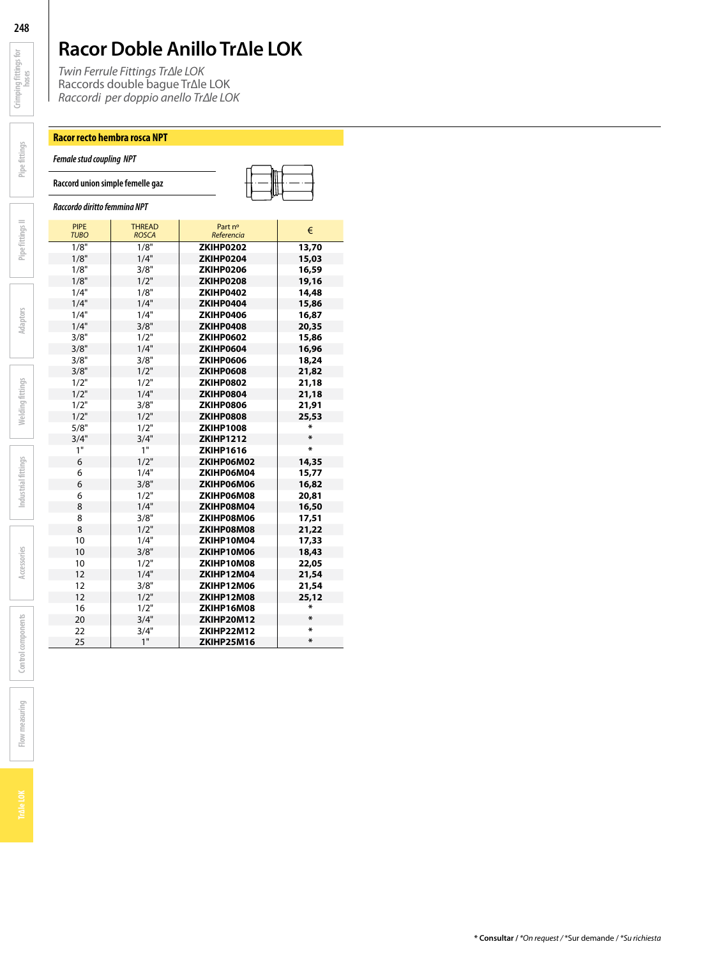*Twin Ferrule Fittings Tr∆le LOK* Raccords double bague Tr∆le LOK *Raccordi per doppio anello Tr∆le LOK*

### **Racor recto hembra rosca NPT**

*Female stud coupling NPT*

**Raccord union simple femelle gaz**

*Raccordo diritto femmina NPT*

| <b>PIPE</b><br><b>TUBO</b> | <b>THREAD</b><br><b>ROSCA</b> | Part nº<br>Referencia | €            |
|----------------------------|-------------------------------|-----------------------|--------------|
| 1/8"                       | 1/8"                          | ZKIHP0202             | 13,70        |
| 1/8"                       | 1/4"                          | ZKIHP0204             | 15,03        |
| 1/8"                       | 3/8"                          | ZKIHP0206             | 16,59        |
| 1/8"                       | 1/2"                          | ZKIHP0208             | 19,16        |
| 1/4"                       | 1/8"                          | ZKIHP0402             | 14,48        |
| 1/4"                       | 1/4"                          | ZKIHP0404             | 15,86        |
| 1/4"                       | 1/4"                          | ZKIHP0406             | 16,87        |
| 1/4"                       | 3/8"                          | ZKIHP0408             | 20,35        |
| 3/8"                       | 1/2"                          | ZKIHP0602             | 15,86        |
| 3/8"                       | 1/4"                          | <b>ZKIHP0604</b>      | 16,96        |
| 3/8"                       | 3/8"                          | <b>ZKIHP0606</b>      | 18,24        |
| 3/8"                       | 1/2"                          | <b>ZKIHP0608</b>      | 21,82        |
| 1/2"                       | 1/2"                          | ZKIHP0802             | 21,18        |
| 1/2"                       | 1/4"                          | ZKIHP0804             | 21,18        |
| 1/2"                       | 3/8"                          | ZKIHP0806             | 21,91        |
| 1/2"                       | 1/2"                          | ZKIHP0808             | 25,53        |
| 5/8"                       | 1/2"                          | <b>ZKIHP1008</b>      | X            |
| 3/4"                       | 3/4"                          | <b>ZKIHP1212</b>      | X            |
| 1"                         | 1"                            | <b>ZKIHP1616</b>      | ×            |
| 6                          | 1/2"                          | ZKIHP06M02            | 14,35        |
| 6                          | 1/4"                          | ZKIHP06M04            | 15,77        |
| 6                          | 3/8"                          | ZKIHP06M06            | 16,82        |
| 6                          | 1/2"                          | ZKIHP06M08            | 20,81        |
| 8                          | 1/4"                          | ZKIHP08M04            | 16,50        |
| 8                          | 3/8"                          | ZKIHP08M06            | 17,51        |
| 8                          | 1/2"                          | ZKIHP08M08            | 21,22        |
| 10                         | 1/4"                          | ZKIHP10M04            | 17,33        |
| 10                         | 3/8"                          | ZKIHP10M06            | 18,43        |
| 10                         | 1/2"                          | ZKIHP10M08            | 22,05        |
| 12                         | 1/4"                          | ZKIHP12M04            | 21,54        |
| 12                         | 3/8"                          | ZKIHP12M06            | 21,54        |
| 12                         | 1/2"                          | ZKIHP12M08            | 25,12        |
| 16                         | 1/2"                          | ZKIHP16M08            | ж            |
| 20                         | 3/4"                          | ZKIHP20M12            | ж            |
| 22                         | 3/4"                          | ZKIHP22M12            | $\pmb{\ast}$ |
| 25                         | 1"                            | ZKIHP25M16            | ж            |

**Crimping fittings for**  Crimping fittings for

**Pipe fittings**

**Pipe fittings II**

**Adaptors**

**Welding fittings**

**Welding fittings** 

**Industrial fittings**

Industrial fittings

**Accessories**

**Control components**

Control components

**Flow measuring**

Flow measuring